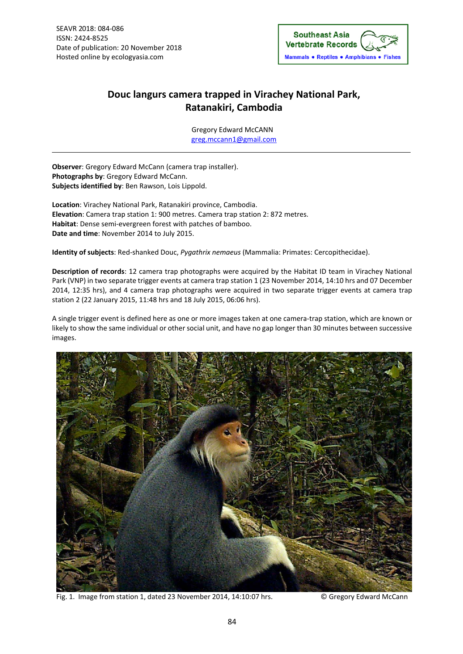

## **Douc langurs camera trapped in Virachey National Park, Ratanakiri, Cambodia**

Gregory Edward McCANN greg.mccann1@gmail.com

**Observer**: Gregory Edward McCann (camera trap installer). **Photographs by**: Gregory Edward McCann. **Subjects identified by**: Ben Rawson, Lois Lippold.

**Location**: Virachey National Park, Ratanakiri province, Cambodia. **Elevation**: Camera trap station 1: 900 metres. Camera trap station 2: 872 metres. Habitat: Dense semi-evergreen forest with patches of bamboo. **Date and time**: November 2014 to July 2015.

**Identity of subjects**: Red‐shanked Douc, *Pygathrix nemaeus* (Mammalia: Primates: Cercopithecidae).

**Description of records**: 12 camera trap photographs were acquired by the Habitat ID team in Virachey National Park (VNP) in two separate trigger events at camera trap station 1 (23 November 2014, 14:10 hrs and 07 December 2014, 12:35 hrs), and 4 camera trap photographs were acquired in two separate trigger events at camera trap station 2 (22 January 2015, 11:48 hrs and 18 July 2015, 06:06 hrs).

A single trigger event is defined here as one or more images taken at one camera‐trap station, which are known or likely to show the same individual or other social unit, and have no gap longer than 30 minutes between successive images.



Fig. 1. Image from station 1, dated 23 November 2014, 14:10:07 hrs. © Gregory Edward McCann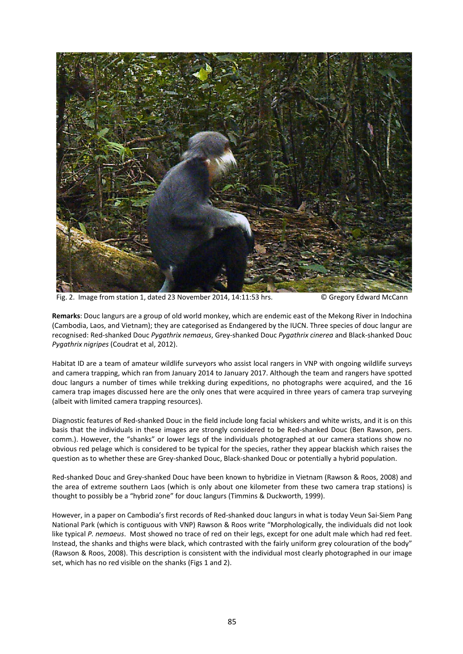

Fig. 2. Image from station 1, dated 23 November 2014, 14:11:53 hrs. © Gregory Edward McCann

**Remarks**: Douc langurs are a group of old world monkey, which are endemic east of the Mekong River in Indochina (Cambodia, Laos, and Vietnam); they are categorised as Endangered by the IUCN. Three species of douc langur are recognised: Red‐shanked Douc *Pygathrix nemaeus*, Grey‐shanked Douc *Pygathrix cinerea* and Black‐shanked Douc *Pygathrix nigripes* (Coudrat et al, 2012).

Habitat ID are a team of amateur wildlife surveyors who assist local rangers in VNP with ongoing wildlife surveys and camera trapping, which ran from January 2014 to January 2017. Although the team and rangers have spotted douc langurs a number of times while trekking during expeditions, no photographs were acquired, and the 16 camera trap images discussed here are the only ones that were acquired in three years of camera trap surveying (albeit with limited camera trapping resources).

Diagnostic features of Red‐shanked Douc in the field include long facial whiskers and white wrists, and it is on this basis that the individuals in these images are strongly considered to be Red‐shanked Douc (Ben Rawson, pers. comm.). However, the "shanks" or lower legs of the individuals photographed at our camera stations show no obvious red pelage which is considered to be typical for the species, rather they appear blackish which raises the question as to whether these are Grey‐shanked Douc, Black‐shanked Douc or potentially a hybrid population.

Red‐shanked Douc and Grey‐shanked Douc have been known to hybridize in Vietnam (Rawson & Roos, 2008) and the area of extreme southern Laos (which is only about one kilometer from these two camera trap stations) is thought to possibly be a "hybrid zone" for douc langurs (Timmins & Duckworth, 1999).

However, in a paper on Cambodia's first records of Red‐shanked douc langurs in what is today Veun Sai‐Siem Pang National Park (which is contiguous with VNP) Rawson & Roos write "Morphologically, the individuals did not look like typical *P. nemaeus*. Most showed no trace of red on their legs, except for one adult male which had red feet. Instead, the shanks and thighs were black, which contrasted with the fairly uniform grey colouration of the body" (Rawson & Roos, 2008). This description is consistent with the individual most clearly photographed in our image set, which has no red visible on the shanks (Figs 1 and 2).